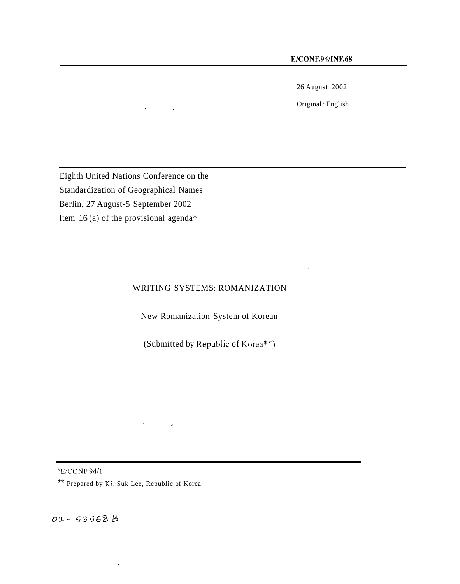26 August 2002

Original : English

Eighth United Nations Conference on the Standardization of Geographical Names Berlin, 27 August-5 September 2002 Item 16 (a) of the provisional agenda\*

 $\mathcal{D}^{\text{max}}$  and  $\mathcal{D}^{\text{max}}$ 

#### WRITING SYSTEMS: ROMANIZATION

New Romanization System of Korean

(Submitted by Republic of Korea\*\*)

\*E/CONF.94/1

\*\* Prepared by Ki. Suk Lee, Republic of Korea

 $\ddot{\phantom{a}}$ 

02-53568B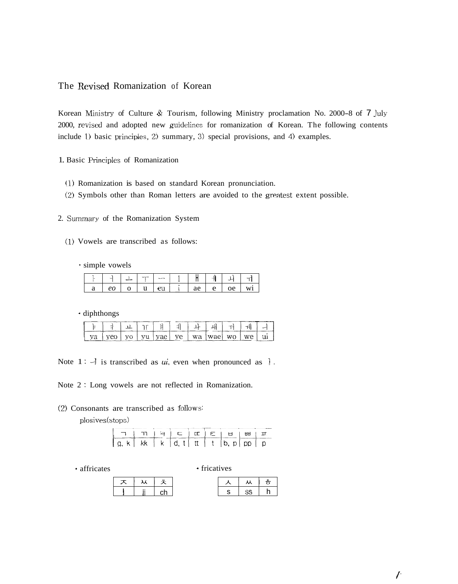#### The Revised Romanization of Korean

Korean Ministry of Culture & Tourism, following Ministry proclamation No. 2000-8 of 7 July 2000, revised and adopted new guidelines for romanization of Korean. The following contents include 1) basic principles, 2) summary, **3)** special provisions, and **4)** examples.

- 1. Basic Principles of Romanization
	- (1) Romanization is based on standard Korean pronunciation.
	- (2) Symbols other than Roman letters are avoided to the greatest extent possible.

2. Summary of the Romanization System

- (1) Vowels are transcribed as follows:
	- simple vowels

|  | simple vowels  |  |    |    |   |    |  |
|--|----------------|--|----|----|---|----|--|
|  | <b>Service</b> |  |    |    |   |    |  |
|  | eo             |  | eu | ae | e | oe |  |

\* diphthongs

|  | vu | vael ve 1 wa 1 wael |  | $W^{\rho}$ |  |
|--|----|---------------------|--|------------|--|

Note  $1 : \mathcal{A}$  is transcribed as *ui*, even when pronounced as  $\mathcal{A}$ .

Note 2 : Long vowels are not reflected in Romanization.

#### (2) Consonants are transcribed as follows:

plosives( stops)

|                          | 1   11   17   12   12   12   13 |  |  |  |  |
|--------------------------|---------------------------------|--|--|--|--|
| lakikkik id. titt i tib. |                                 |  |  |  |  |

• affricates • fricatives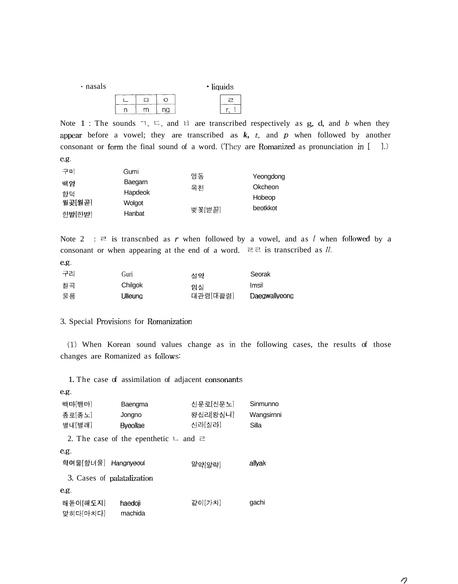| · nasals |  |  |  | $\cdot$ liquids |   |
|----------|--|--|--|-----------------|---|
|          |  |  |  |                 | ≂ |
|          |  |  |  |                 |   |

Note 1 : The sounds  $\exists$ ,  $\sqsubset$ , and  $\exists$  are transcribed respectively as g, d, and *b* when they appear before a vowel; they are transcribed as  $k$ ,  $t$ , and  $p$  when followed by another consonant or form the final sound of a word. (They are Romanized as pronunciation in  $[-]$ .) e.g.

| 구미     | Gumi    | 영동     |           |
|--------|---------|--------|-----------|
|        | Baegarn |        | Yeongdong |
| 백암     |         | 옥처     | Okcheon   |
| 한덕     | Hapdeok |        |           |
| 월곶[월곧] | Wolgot  |        | Hobeop    |
|        |         |        | beotkkot  |
| 한발[한발] | Hanbat  | 벚꽃[벋꼳] |           |

Note 2 :  $\Xi$  is transcnbed as *r* when followed by a vowel, and as *l* when followed by a consonant or when appearing at the end of a word.  $\exists \exists$  is transcribed as *ll*.

| 구리 | Guri    | 설약       | Seorak        |
|----|---------|----------|---------------|
| 칠곡 | Chilgok | 임실       | Imsil         |
| 울릉 | Ulleung | 대관령[대괄령] | Daegwallyeong |

#### 3. Special Provisions for Romanization

(1) When Korean sound values change as in the following cases, the results of those changes are Romanized as follows:

1. The case of assimilation of adjacent consonants

| e.g.                       |                                                   |          |            |  |
|----------------------------|---------------------------------------------------|----------|------------|--|
| 백마[뱅마]                     | Baengma                                           | 신문로[신문노] | Sinmunno   |  |
| 종로[종노]                     | Jongno                                            | 왕십리[왕심니] | Wangsirnni |  |
| 별내[별래]                     | Bveollae                                          | 신라[실라]   | Silla      |  |
|                            | 2. The case of the epenthetic $\cup$ and $\equiv$ |          |            |  |
| e.g.                       |                                                   |          |            |  |
| 학여울[항녀울] Hangnyeoul        |                                                   | 알약[알략]   | allvak     |  |
| 3. Cases of palatalization |                                                   |          |            |  |
| e.g.                       |                                                   |          |            |  |
| 해돋이[해도지]                   | haedoil                                           | 같이[가치]   | gachi      |  |
| 맞히다[마치다]                   | machida                                           |          |            |  |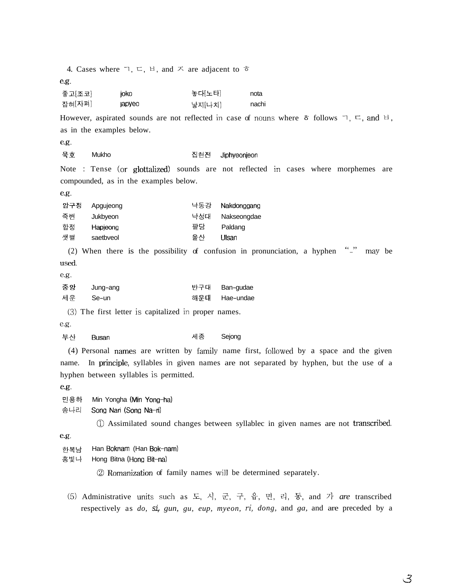|                  | 4. Cases where $\sqsupset, \sqsubset, \sqcup$ , and $\sqsupset$ are adjacent to $\bar{\sigma}$ |                  |                                                                                                                                          |
|------------------|------------------------------------------------------------------------------------------------|------------------|------------------------------------------------------------------------------------------------------------------------------------------|
| e.g.             |                                                                                                |                  |                                                                                                                                          |
| 좋고[조코]<br>잡혀[자펴] | joko<br>japyeo                                                                                 | 놓다[노타]<br>낳지[나치] | nota<br>nachi                                                                                                                            |
|                  |                                                                                                |                  | However, aspirated sounds are not reflected in case of nouns where $\bar{\sigma}$ follows $\bar{\eta}$ , $\bar{\mu}$ , and $\bar{\mu}$ , |
|                  | as in the examples below.                                                                      |                  |                                                                                                                                          |
| e.g.             |                                                                                                |                  |                                                                                                                                          |
| 묵호               | Mukho                                                                                          | 집현전              | Jiphyeonjeon                                                                                                                             |
|                  |                                                                                                |                  | Note : Tense (or glottalized) sounds are not reflected in cases where morphemes are                                                      |
|                  | compounded, as in the examples below.                                                          |                  |                                                                                                                                          |
| e.g.             |                                                                                                |                  |                                                                                                                                          |
| 압구정              | Apgujeong                                                                                      | 낙동강              | Nakdonggang                                                                                                                              |
| 죽변               | Jukbyeon                                                                                       | 낙성대              | Nakseongdae                                                                                                                              |
| 합정<br>샛별         | Hapjeong<br>saetbveol                                                                          | 팔당<br>울산         | Paldang<br>Ulsan                                                                                                                         |
|                  |                                                                                                |                  | $\frac{n-n}{n}$                                                                                                                          |
| used.            |                                                                                                |                  | (2) When there is the possibility of confusion in pronunciation, a hyphen<br>may be                                                      |
| e.g.             |                                                                                                |                  |                                                                                                                                          |
| 중앙               | Jung-ang                                                                                       | 반구대              | Ban-gudae                                                                                                                                |
| 세운               | Se-un                                                                                          | 해운대              | Hae-undae                                                                                                                                |
|                  | (3) The first letter is capitalized in proper names.                                           |                  |                                                                                                                                          |
| e.g.             |                                                                                                |                  |                                                                                                                                          |
| 부산               | <b>Busan</b>                                                                                   | 세종               | Sejong                                                                                                                                   |
|                  |                                                                                                |                  | (4) Personal names are written by family name first, followed by a space and the given                                                   |
| name.            |                                                                                                |                  | In principle, syllables in given names are not separated by hyphen, but the use of a                                                     |
|                  | hyphen between syllables is permitted.                                                         |                  |                                                                                                                                          |
| e.g.             |                                                                                                |                  |                                                                                                                                          |
| 민용하              | Min Yongha (Min Yong-ha)                                                                       |                  |                                                                                                                                          |
| 송나리              | Song Nari (Song Na-ri)                                                                         |                  |                                                                                                                                          |
|                  |                                                                                                |                  | 1 Assimilated sound changes between syllablec in given names are not transcribed.                                                        |
| e.g.             |                                                                                                |                  |                                                                                                                                          |
| 한복남<br>홍빛나       | Han Boknam (Han Bok-nam)<br>Hong Bitna (Hong Bit-na)                                           |                  |                                                                                                                                          |
|                  |                                                                                                |                  | 2 Romanization of family names will be determined separately.                                                                            |
|                  |                                                                                                |                  |                                                                                                                                          |
|                  |                                                                                                |                  | (5) Administrative units such as 도, 시, 군, 구, 읍, 면, 리, 동, and 가 are transcribed                                                           |
|                  |                                                                                                |                  | respectively as do, si, gun, gu, eup, myeon, ri, dong, and ga, and are preceded by a                                                     |

 $\mathcal{Z}$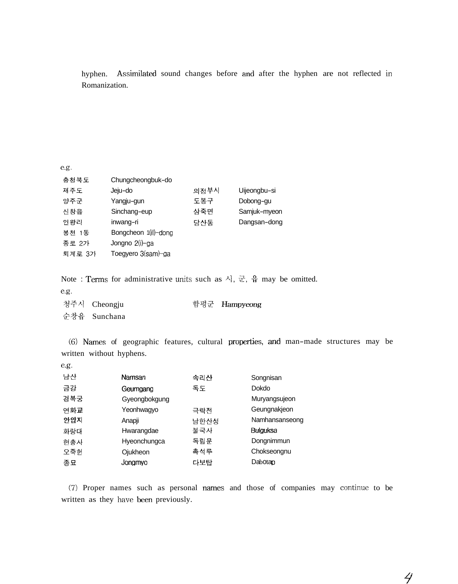hyphen. Assimilated sound changes before and after the hyphen are not reflected in Romanization.

 $e.g.$ 

| 충청북도   | Chungcheongbuk-do    |      |              |
|--------|----------------------|------|--------------|
| 제주도    | Jeju-do              | 의정부사 | Uijeongbu-si |
| 양주군    | Yangju-gun           | 도봉구  | Dobong-gu    |
| 신창읍    | Sinchang-eup         | 삼죽면  | Samjuk-myeon |
| 인왕리    | inwang-ri            | 당산동  | Dangsan-dong |
| 봉천 1동  | Bongcheon 1(il)-dong |      |              |
| 종로 2가  | Jongno 2(i)-ga       |      |              |
| 퇴계로 3가 | Toegyero 3(sam)-ga   |      |              |

Note : Terms for administrative units such as  $\lambda$ ,  $\vec{\tau}$ ,  $\frac{6}{\pi}$  may be omitted.

*e.g.* 

| 청주시 Cheongju | 함평군 Hampyeong |
|--------------|---------------|
| 순창읍 Sunchana |               |

(6) Names of geographic features, cultural properties, and man-made structures may be written without hyphens.

| e.g. |               |      |                |
|------|---------------|------|----------------|
| 남산   | Namsan        | 속리산  | Songnisan      |
| 금강   | Geumgang      | 독도   | Dokdo          |
| 경복궁  | Gyeongbokgung |      | Muryangsujeon  |
| 연화교  | Yeonhwagyo    | 극락전  | Geungnakjeon   |
| 안압지  | Anapji        | 남한산성 | Namhansanseong |
| 화랑대  | Hwarangdae    | 불국사  | Bulguksa       |
| 협충사  | Hyeonchungca  | 독립문  | Dongnimmun     |
| 오죽헌  | Ojukheon      | 촉석루  | Chokseongnu    |
| 종묘   | Jonamyo       | 다보탑  | Dabotan        |

*(7)* Proper names such as personal names and those of companies may continue to be written as they have been previously.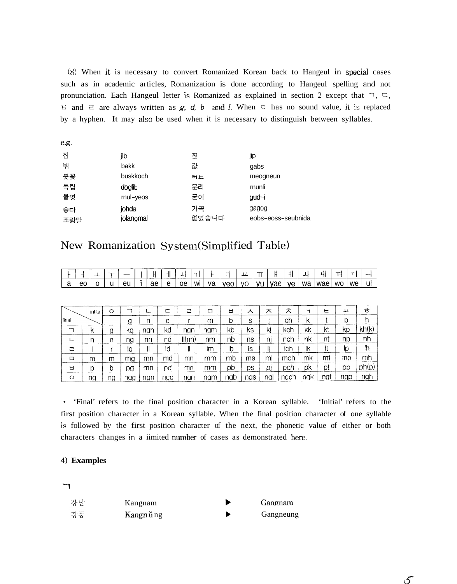*(8)* When it is necessary to convert Romanized Korean back to Hangeul in special cases such as in academic articles, Romanization is done according to Hangeul spelling and not pronunciation. Each Hangeul letter is Romanized as explained in section 2 except that  $\exists, \subseteq,$ *ti* and  $\vec{z}$  are always written as *g, d, b* and *l.* When  $\circ$  has no sound value, it is replaced by a hyphen. It may also be used when it is necessary to distinguish between syllables.

| e.g. |           |       |                    |
|------|-----------|-------|--------------------|
| 집    | jib       | 짚     | jip                |
| 밖    | bakk      | 걊     | gabs               |
| 붓꽃   | buskkoch  | 叶上    | meogneun           |
| 독립   | doglib    | 문리    | munli              |
| 물엿   | rnul-yeos | 굳이    | gud-i              |
| 좋다   | johda     | 가곡    | gagog              |
| 조랑말  | jolangmal | 없었습니다 | eobs-eoss-seubnida |

# New Romanization System(Simplified Table)

|                 |             | - | --- |    |                   |    |      |    |                          | ᅭ          | $\mathsf{T}$ | H     | <b>.</b>       | ᅪ         |     |                | $T_{\rm eff}$ |   |
|-----------------|-------------|---|-----|----|-------------------|----|------|----|--------------------------|------------|--------------|-------|----------------|-----------|-----|----------------|---------------|---|
| $\sqrt{2}$<br>๛ | $\sim$<br>w |   | eu  | ae | <sup>n</sup><br>◡ | oе | ⊺ WI | va | 100 <sub>0</sub><br>vov. | $\sqrt{2}$ | - VU l       | l vae | $\cdots$<br>vc | <b>MC</b> | wae | $\sum$<br>vv v | we            | Ш |

|              | intital | $\circ$ |     |     |     | 귿     | 口   | ь   | ⋏   | ᆽ   | 仧    | ᆨ   | Ε   | 꾜   | ਠੰ    |
|--------------|---------|---------|-----|-----|-----|-------|-----|-----|-----|-----|------|-----|-----|-----|-------|
| <i>final</i> |         |         | g   | n   | d   |       | m   | b   | S   |     | сh   | K   |     | D   | h     |
|              | К       | g       | κg  | ngn | kd  | nan   | ngm | kb  | ks  | kį  | kch  | kk  | kt  | КD  | kh(k) |
|              | n       | n       | ng  | nn  | nd  | I(nn) | nm  | nb  | ns  | nı  | nch  | nk  | nt  | ηp  | nh    |
| ㄹ            |         |         | Ig  | II  | ld  | 11    | lm  | Ib  | 1S  |     | ich  | ۱k  | ŀt  | 10  | ľh    |
| 口            | m       | m       | mg  | mn  | md  | mn    | mm  | mb  | ms  | mı  | mch  | mk  | mt  | mp  | mh    |
| Н            | D       | b       | pg  | mn  | pd  | mn    | mm  | рb  | DS  | DI  | pch  | рk  | pt  | pp  | ph(p) |
| $\circ$      | ng      | ng      | ngg | ngn | nad | ngn   | ngm | ngb | ngs | nai | ngch | ngk | ngt | ngp | ngh   |

- 'Final' refers to the final position character in a Korean syllable. 'Initial' refers to the first position character in a Korean syllable. When the final position character of one syllable is followed by the first position character of the next, the phonetic value of either or both characters changes in a iimited number of cases as demonstrated here.

# **4) Examples**  -l

| 강남 | Kangnam   | Gangnam   |
|----|-----------|-----------|
| 강릉 | Kangn ung | Gangneung |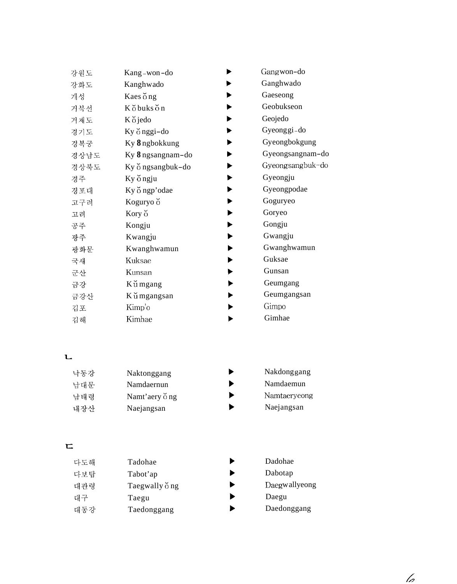| 강원도  | Kang-won-do       | Gangwon-do       |
|------|-------------------|------------------|
| 강화도  | Kanghwado         | Ganghwado        |
| 개성   | Kaes ong          | Gaeseong         |
| 거북선  | Kobukson          | Geobukseon       |
| 거제도  | Kŏjedo            | Geojedo          |
| 경기도  | Ky ŏ nggi-do      | Gyeonggi-do      |
| 경복궁  | Ky 8 ngbokkung    | Gyeongbokgung    |
| 경상남도 | Ky 8 ngsangnam-do | Gyeongsangnam-do |
| 경상북도 | Ky ongsangbuk-do  | Gyeongsangbuk-do |
| 경주   | Ky ongju          | Gyeongju         |
| 경포대  | Ky o ngp'odae     | Gyeongpodae      |
| 고구려  | Koguryo o         | Goguryeo         |
| 고려   | Kory <sub>O</sub> | Goryeo           |
| 공주   | Kongju            | Gongju           |
| 광주   | Kwangju           | Gwangju          |
| 광화문  | Kwanghwamun       | Gwanghwamun      |
| 국새   | Kuksae            | Guksae           |
| 군산   | Kunsan            | Gunsan           |
| 금강   | K ŭ mgang         | Geumgang         |
| 금강산  | K u mgangsan      | Geumgangsan      |
| 김포   | Kimp'o            | Gimpo            |
| 김해   | Kimhae            | Gimhae           |
|      |                   |                  |

#### $\mathbf{L}$

| 낙동강 | Naktonggang   | Nakdonggang  |
|-----|---------------|--------------|
| 남대문 | Namdaernun    | Namdaemun    |
| 남태령 | Namt'aery ong | Namtaeryeong |
| 내장산 | Naejangsan    | Naejangsan   |

# $\mathbf{r}$

| 다도해 | Tadohae                      |
|-----|------------------------------|
| 다보탑 | Tabot'ap                     |
| 대관령 | Taegwally $\breve{\circ}$ ng |
| 대구  | Taegu                        |
| 대동강 | Taedonggang                  |

- **b** Dadohae
- **b** Dabotap
- **b Daegwally eong**
- **b** Daegu
- **b** Daedonggang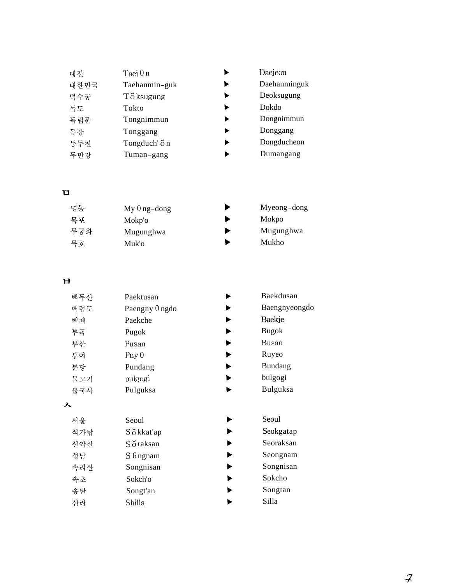| 대전   | Taej 0 n      |  |
|------|---------------|--|
| 대한민국 | Taehanmin-guk |  |
| 덕수궁  | T o ksugung   |  |
| 독도   | Tokto         |  |
| 독립문  | Tongnimmun    |  |
| 동강   | Tonggang      |  |
| 동두천  | Tongduch' on  |  |
| 두만강  | Tuman-gang    |  |

**P** 

| 명동  | $My 0 ng-dong$ | Myeong-dong |
|-----|----------------|-------------|
| 목포  | Mokp'o         | Mokpo       |
| 무궁화 | Mugunghwa      | Mugunghwa   |
| 묵호  | Muk'o          | Mukho       |

## $\mathbf{H}$

성남

속초

송탄

신라

속리산

| 백두산 | Paektusan      | Baekdusan       |
|-----|----------------|-----------------|
| 백령도 | Paengny 0 ngdo | Baengnyeongdo   |
| 백제  | Paekche        | Baekje          |
| 부곡  | Pugok          | <b>Bugok</b>    |
| 부산  | Pusan          | Busan           |
| 부여  | Puy $0$        | Ruyeo           |
| 부당  | Pundang        | Bundang         |
| 불고기 | pulgogi        | bulgogi         |
| 불국사 | Pulguksa       | <b>Bulguksa</b> |
| 入   |                |                 |
| 서울  | Seoul          | Seoul           |
| 석가탑 | S o kkat'ap    | Seokgatap       |
| 설악산 | Söraksan       | Seoraksan       |

S 6 ngnam Songnisan Sokch'o Songt'an Shilla

|   | Bundang   |
|---|-----------|
|   | bulgogi   |
|   | Bulguksa  |
|   |           |
|   |           |
| ▶ | Seoul     |
| ▶ | Seokgatap |
|   | Seoraksan |
|   | Seongnam  |

 $\blacktriangleright$  $\blacktriangleright$ 

 $\blacktriangleright$ 

 $\blacktriangleright$ 

Daejeon

Dokdo

Daehanminguk Deoksugung

Dongnimmun Donggang Dongducheon Dumangang

- Sokcho
- Songtan
	- Silla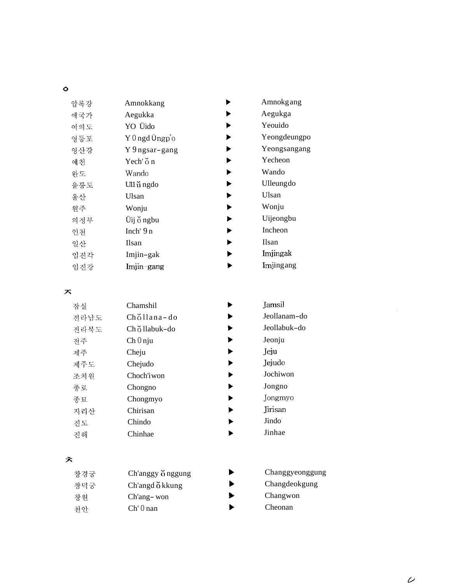| -            |  |
|--------------|--|
| ×<br>I<br>v. |  |

| 압록강 | Amnokkang                           | Amnokgang    |
|-----|-------------------------------------|--------------|
| 애국가 | Aegukka                             | Aegukga      |
| 여의도 | YO Üido                             | Yeouido      |
| 영등포 | $Y$ 0 ngd $\ddot{\mathsf{U}}$ ngp'o | Yeongdeungpo |
| 영산강 | Y 9 ngsar-gang                      | Yeongsangang |
| 예천  | Yech' $\circ$ n                     | Yecheon      |
| 완도  | Wando                               | Wando        |
| 울릉도 | Ull ungdo                           | Ulleungdo    |
| 울산  | Ulsan                               | Ulsan        |
| 원주  | Wonju                               | Wonju        |
| 의정부 | Üij ŏ ngbu                          | Uijeongbu    |
| 인천  | Inch' $9n$                          | Incheon      |
| 일산  | <b>Ilsan</b>                        | <b>Ilsan</b> |
| 임진각 | Imjin-gak                           | Imjingak     |
| 임진강 | Imjin-gang                          | Imjingang    |
|     |                                     |              |

 $\overline{\mathbf{x}}$ 

| 잠실   | Chamshil     | Ja |
|------|--------------|----|
| 전라남도 | Chollana-do  | Je |
| 전라북도 | Chollabuk-do | Je |
| 전주   | $Ch 0$ nju   | Je |
| 제주   | Cheju        | Je |
| 제주도  | Chejudo      | Je |
| 조치원  | Choch'iwon   | Jo |
| 종로   | Chongno      | Jo |
| 종묘   | Chongmyo     | Jo |
| 지리산  | Chirisan     | Ji |
| 진도   | Chindo       | Ji |
| 진해   | Chinhae      | Ji |
|      |              |    |

### ぇ

| 창경궁 | Ch'anggy o nggung |
|-----|-------------------|
| 창덕궁 | Ch'angd okkung    |
| 찻워  | Ch'ang-won        |
| 처안  | $Ch'$ 0 nan       |

| Jamsil       |  |
|--------------|--|
| Jeollanam-do |  |
|              |  |

eollabuk-do

eonju

eju

ejudo

Jochiwon

Jongno

Jongmyo

risan

Jindo

inhae

- **b** Changgyeonggung
- **b** Changdeokgung
- **b** Changwon
- **b** Cheonan